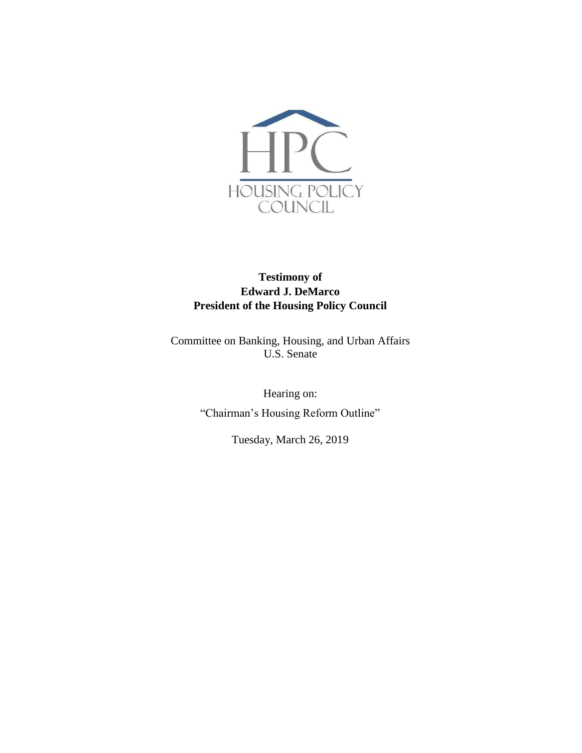

# **Testimony of Edward J. DeMarco President of the Housing Policy Council**

Committee on Banking, Housing, and Urban Affairs U.S. Senate

> Hearing on: "Chairman's Housing Reform Outline"

> > Tuesday, March 26, 2019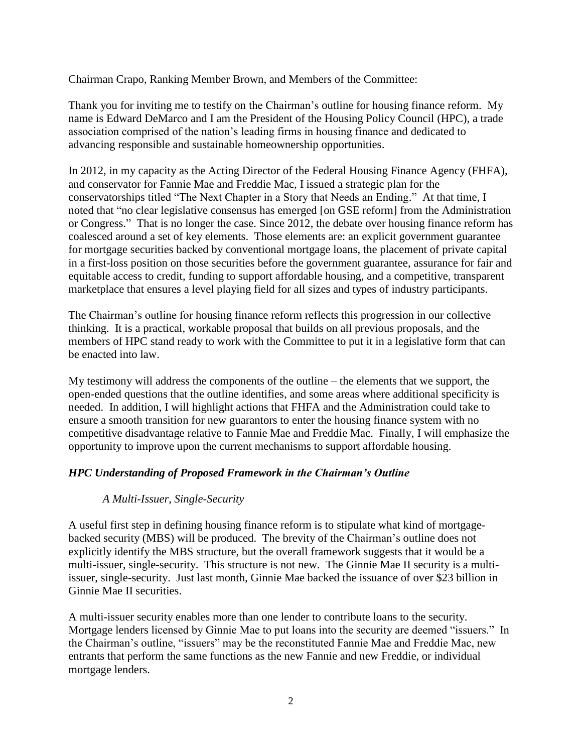Chairman Crapo, Ranking Member Brown, and Members of the Committee:

Thank you for inviting me to testify on the Chairman's outline for housing finance reform. My name is Edward DeMarco and I am the President of the Housing Policy Council (HPC), a trade association comprised of the nation's leading firms in housing finance and dedicated to advancing responsible and sustainable homeownership opportunities.

In 2012, in my capacity as the Acting Director of the Federal Housing Finance Agency (FHFA), and conservator for Fannie Mae and Freddie Mac, I issued a strategic plan for the conservatorships titled "The Next Chapter in a Story that Needs an Ending." At that time, I noted that "no clear legislative consensus has emerged [on GSE reform] from the Administration or Congress." That is no longer the case. Since 2012, the debate over housing finance reform has coalesced around a set of key elements. Those elements are: an explicit government guarantee for mortgage securities backed by conventional mortgage loans, the placement of private capital in a first-loss position on those securities before the government guarantee, assurance for fair and equitable access to credit, funding to support affordable housing, and a competitive, transparent marketplace that ensures a level playing field for all sizes and types of industry participants.

The Chairman's outline for housing finance reform reflects this progression in our collective thinking. It is a practical, workable proposal that builds on all previous proposals, and the members of HPC stand ready to work with the Committee to put it in a legislative form that can be enacted into law.

My testimony will address the components of the outline – the elements that we support, the open-ended questions that the outline identifies, and some areas where additional specificity is needed. In addition, I will highlight actions that FHFA and the Administration could take to ensure a smooth transition for new guarantors to enter the housing finance system with no competitive disadvantage relative to Fannie Mae and Freddie Mac. Finally, I will emphasize the opportunity to improve upon the current mechanisms to support affordable housing.

## *HPC Understanding of Proposed Framework in the Chairman's Outline*

## *A Multi-Issuer, Single-Security*

A useful first step in defining housing finance reform is to stipulate what kind of mortgagebacked security (MBS) will be produced. The brevity of the Chairman's outline does not explicitly identify the MBS structure, but the overall framework suggests that it would be a multi-issuer, single-security. This structure is not new. The Ginnie Mae II security is a multiissuer, single-security. Just last month, Ginnie Mae backed the issuance of over \$23 billion in Ginnie Mae II securities.

A multi-issuer security enables more than one lender to contribute loans to the security. Mortgage lenders licensed by Ginnie Mae to put loans into the security are deemed "issuers." In the Chairman's outline, "issuers" may be the reconstituted Fannie Mae and Freddie Mac, new entrants that perform the same functions as the new Fannie and new Freddie, or individual mortgage lenders.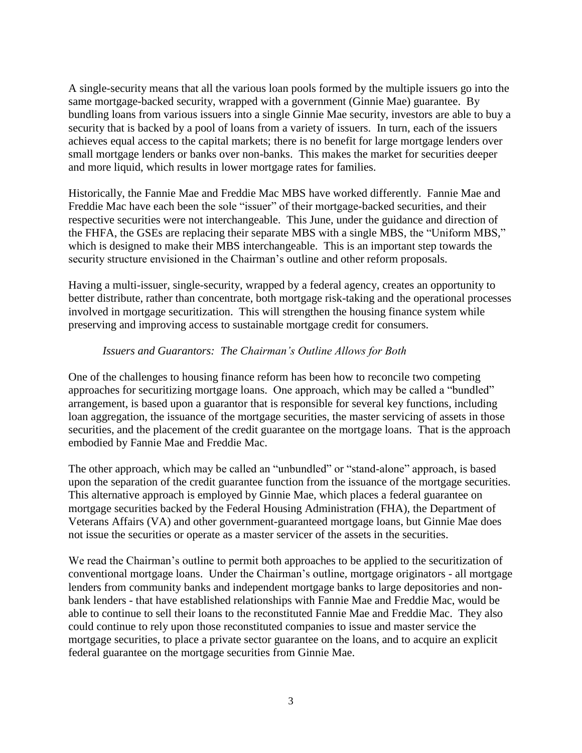A single-security means that all the various loan pools formed by the multiple issuers go into the same mortgage-backed security, wrapped with a government (Ginnie Mae) guarantee. By bundling loans from various issuers into a single Ginnie Mae security, investors are able to buy a security that is backed by a pool of loans from a variety of issuers. In turn, each of the issuers achieves equal access to the capital markets; there is no benefit for large mortgage lenders over small mortgage lenders or banks over non-banks. This makes the market for securities deeper and more liquid, which results in lower mortgage rates for families.

Historically, the Fannie Mae and Freddie Mac MBS have worked differently. Fannie Mae and Freddie Mac have each been the sole "issuer" of their mortgage-backed securities, and their respective securities were not interchangeable. This June, under the guidance and direction of the FHFA, the GSEs are replacing their separate MBS with a single MBS, the "Uniform MBS," which is designed to make their MBS interchangeable. This is an important step towards the security structure envisioned in the Chairman's outline and other reform proposals.

Having a multi-issuer, single-security, wrapped by a federal agency, creates an opportunity to better distribute, rather than concentrate, both mortgage risk-taking and the operational processes involved in mortgage securitization. This will strengthen the housing finance system while preserving and improving access to sustainable mortgage credit for consumers.

#### *Issuers and Guarantors: The Chairman's Outline Allows for Both*

One of the challenges to housing finance reform has been how to reconcile two competing approaches for securitizing mortgage loans. One approach, which may be called a "bundled" arrangement, is based upon a guarantor that is responsible for several key functions, including loan aggregation, the issuance of the mortgage securities, the master servicing of assets in those securities, and the placement of the credit guarantee on the mortgage loans. That is the approach embodied by Fannie Mae and Freddie Mac.

The other approach, which may be called an "unbundled" or "stand-alone" approach, is based upon the separation of the credit guarantee function from the issuance of the mortgage securities. This alternative approach is employed by Ginnie Mae, which places a federal guarantee on mortgage securities backed by the Federal Housing Administration (FHA), the Department of Veterans Affairs (VA) and other government-guaranteed mortgage loans, but Ginnie Mae does not issue the securities or operate as a master servicer of the assets in the securities.

We read the Chairman's outline to permit both approaches to be applied to the securitization of conventional mortgage loans. Under the Chairman's outline, mortgage originators - all mortgage lenders from community banks and independent mortgage banks to large depositories and nonbank lenders - that have established relationships with Fannie Mae and Freddie Mac, would be able to continue to sell their loans to the reconstituted Fannie Mae and Freddie Mac. They also could continue to rely upon those reconstituted companies to issue and master service the mortgage securities, to place a private sector guarantee on the loans, and to acquire an explicit federal guarantee on the mortgage securities from Ginnie Mae.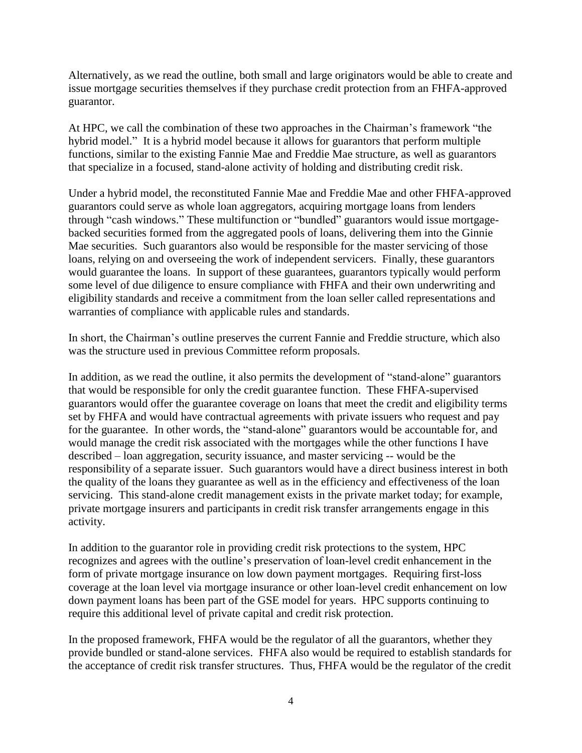Alternatively, as we read the outline, both small and large originators would be able to create and issue mortgage securities themselves if they purchase credit protection from an FHFA-approved guarantor.

At HPC, we call the combination of these two approaches in the Chairman's framework "the hybrid model." It is a hybrid model because it allows for guarantors that perform multiple functions, similar to the existing Fannie Mae and Freddie Mae structure, as well as guarantors that specialize in a focused, stand-alone activity of holding and distributing credit risk.

Under a hybrid model, the reconstituted Fannie Mae and Freddie Mae and other FHFA-approved guarantors could serve as whole loan aggregators, acquiring mortgage loans from lenders through "cash windows." These multifunction or "bundled" guarantors would issue mortgagebacked securities formed from the aggregated pools of loans, delivering them into the Ginnie Mae securities. Such guarantors also would be responsible for the master servicing of those loans, relying on and overseeing the work of independent servicers. Finally, these guarantors would guarantee the loans. In support of these guarantees, guarantors typically would perform some level of due diligence to ensure compliance with FHFA and their own underwriting and eligibility standards and receive a commitment from the loan seller called representations and warranties of compliance with applicable rules and standards.

In short, the Chairman's outline preserves the current Fannie and Freddie structure, which also was the structure used in previous Committee reform proposals.

In addition, as we read the outline, it also permits the development of "stand-alone" guarantors that would be responsible for only the credit guarantee function. These FHFA-supervised guarantors would offer the guarantee coverage on loans that meet the credit and eligibility terms set by FHFA and would have contractual agreements with private issuers who request and pay for the guarantee. In other words, the "stand-alone" guarantors would be accountable for, and would manage the credit risk associated with the mortgages while the other functions I have described – loan aggregation, security issuance, and master servicing -- would be the responsibility of a separate issuer. Such guarantors would have a direct business interest in both the quality of the loans they guarantee as well as in the efficiency and effectiveness of the loan servicing. This stand-alone credit management exists in the private market today; for example, private mortgage insurers and participants in credit risk transfer arrangements engage in this activity.

In addition to the guarantor role in providing credit risk protections to the system, HPC recognizes and agrees with the outline's preservation of loan-level credit enhancement in the form of private mortgage insurance on low down payment mortgages. Requiring first-loss coverage at the loan level via mortgage insurance or other loan-level credit enhancement on low down payment loans has been part of the GSE model for years. HPC supports continuing to require this additional level of private capital and credit risk protection.

In the proposed framework, FHFA would be the regulator of all the guarantors, whether they provide bundled or stand-alone services. FHFA also would be required to establish standards for the acceptance of credit risk transfer structures. Thus, FHFA would be the regulator of the credit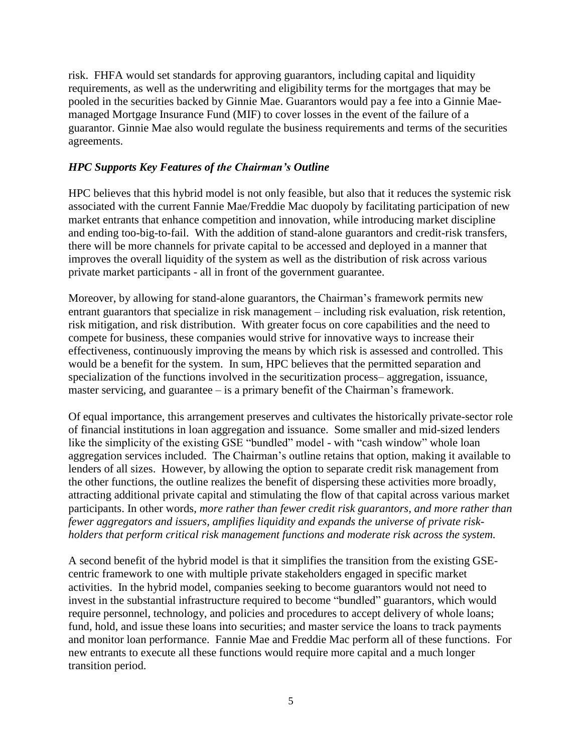risk. FHFA would set standards for approving guarantors, including capital and liquidity requirements, as well as the underwriting and eligibility terms for the mortgages that may be pooled in the securities backed by Ginnie Mae. Guarantors would pay a fee into a Ginnie Maemanaged Mortgage Insurance Fund (MIF) to cover losses in the event of the failure of a guarantor. Ginnie Mae also would regulate the business requirements and terms of the securities agreements.

### *HPC Supports Key Features of the Chairman's Outline*

HPC believes that this hybrid model is not only feasible, but also that it reduces the systemic risk associated with the current Fannie Mae/Freddie Mac duopoly by facilitating participation of new market entrants that enhance competition and innovation, while introducing market discipline and ending too-big-to-fail. With the addition of stand-alone guarantors and credit-risk transfers, there will be more channels for private capital to be accessed and deployed in a manner that improves the overall liquidity of the system as well as the distribution of risk across various private market participants - all in front of the government guarantee.

Moreover, by allowing for stand-alone guarantors, the Chairman's framework permits new entrant guarantors that specialize in risk management – including risk evaluation, risk retention, risk mitigation, and risk distribution. With greater focus on core capabilities and the need to compete for business, these companies would strive for innovative ways to increase their effectiveness, continuously improving the means by which risk is assessed and controlled. This would be a benefit for the system. In sum, HPC believes that the permitted separation and specialization of the functions involved in the securitization process– aggregation, issuance, master servicing, and guarantee – is a primary benefit of the Chairman's framework.

Of equal importance, this arrangement preserves and cultivates the historically private-sector role of financial institutions in loan aggregation and issuance. Some smaller and mid-sized lenders like the simplicity of the existing GSE "bundled" model - with "cash window" whole loan aggregation services included. The Chairman's outline retains that option, making it available to lenders of all sizes. However, by allowing the option to separate credit risk management from the other functions, the outline realizes the benefit of dispersing these activities more broadly, attracting additional private capital and stimulating the flow of that capital across various market participants. In other words, *more rather than fewer credit risk guarantors, and more rather than fewer aggregators and issuers, amplifies liquidity and expands the universe of private riskholders that perform critical risk management functions and moderate risk across the system.* 

A second benefit of the hybrid model is that it simplifies the transition from the existing GSEcentric framework to one with multiple private stakeholders engaged in specific market activities. In the hybrid model, companies seeking to become guarantors would not need to invest in the substantial infrastructure required to become "bundled" guarantors, which would require personnel, technology, and policies and procedures to accept delivery of whole loans; fund, hold, and issue these loans into securities; and master service the loans to track payments and monitor loan performance. Fannie Mae and Freddie Mac perform all of these functions. For new entrants to execute all these functions would require more capital and a much longer transition period.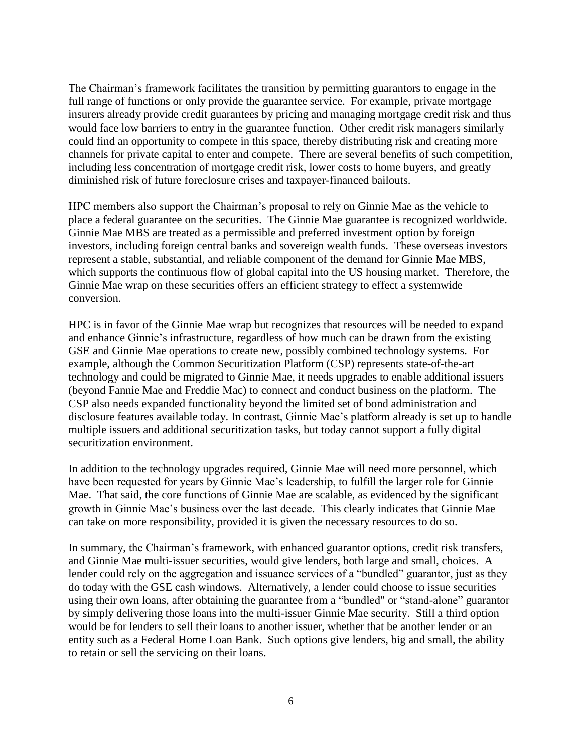The Chairman's framework facilitates the transition by permitting guarantors to engage in the full range of functions or only provide the guarantee service. For example, private mortgage insurers already provide credit guarantees by pricing and managing mortgage credit risk and thus would face low barriers to entry in the guarantee function. Other credit risk managers similarly could find an opportunity to compete in this space, thereby distributing risk and creating more channels for private capital to enter and compete. There are several benefits of such competition, including less concentration of mortgage credit risk, lower costs to home buyers, and greatly diminished risk of future foreclosure crises and taxpayer-financed bailouts.

HPC members also support the Chairman's proposal to rely on Ginnie Mae as the vehicle to place a federal guarantee on the securities. The Ginnie Mae guarantee is recognized worldwide. Ginnie Mae MBS are treated as a permissible and preferred investment option by foreign investors, including foreign central banks and sovereign wealth funds. These overseas investors represent a stable, substantial, and reliable component of the demand for Ginnie Mae MBS, which supports the continuous flow of global capital into the US housing market. Therefore, the Ginnie Mae wrap on these securities offers an efficient strategy to effect a systemwide conversion.

HPC is in favor of the Ginnie Mae wrap but recognizes that resources will be needed to expand and enhance Ginnie's infrastructure, regardless of how much can be drawn from the existing GSE and Ginnie Mae operations to create new, possibly combined technology systems. For example, although the Common Securitization Platform (CSP) represents state-of-the-art technology and could be migrated to Ginnie Mae, it needs upgrades to enable additional issuers (beyond Fannie Mae and Freddie Mac) to connect and conduct business on the platform. The CSP also needs expanded functionality beyond the limited set of bond administration and disclosure features available today. In contrast, Ginnie Mae's platform already is set up to handle multiple issuers and additional securitization tasks, but today cannot support a fully digital securitization environment.

In addition to the technology upgrades required, Ginnie Mae will need more personnel, which have been requested for years by Ginnie Mae's leadership, to fulfill the larger role for Ginnie Mae. That said, the core functions of Ginnie Mae are scalable, as evidenced by the significant growth in Ginnie Mae's business over the last decade. This clearly indicates that Ginnie Mae can take on more responsibility, provided it is given the necessary resources to do so.

In summary, the Chairman's framework, with enhanced guarantor options, credit risk transfers, and Ginnie Mae multi-issuer securities, would give lenders, both large and small, choices. A lender could rely on the aggregation and issuance services of a "bundled" guarantor, just as they do today with the GSE cash windows. Alternatively, a lender could choose to issue securities using their own loans, after obtaining the guarantee from a "bundled" or "stand-alone" guarantor by simply delivering those loans into the multi-issuer Ginnie Mae security. Still a third option would be for lenders to sell their loans to another issuer, whether that be another lender or an entity such as a Federal Home Loan Bank. Such options give lenders, big and small, the ability to retain or sell the servicing on their loans.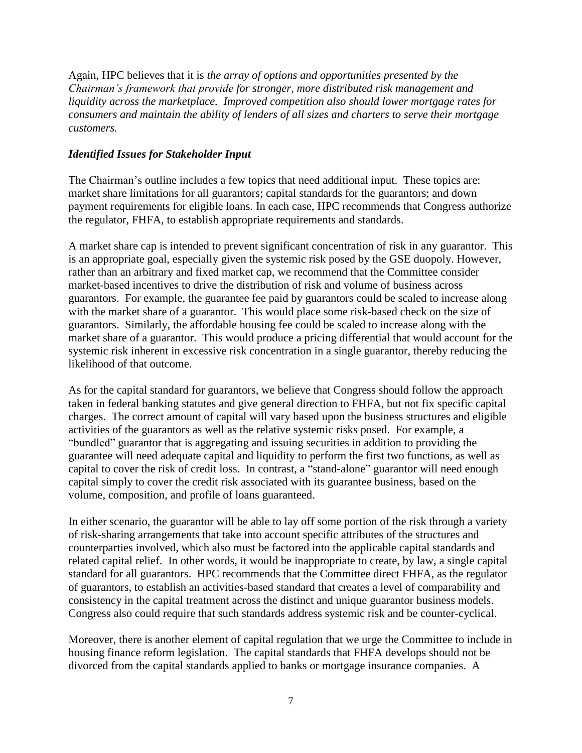Again, HPC believes that it is *the array of options and opportunities presented by the Chairman's framework that provide for stronger, more distributed risk management and liquidity across the marketplace. Improved competition also should lower mortgage rates for consumers and maintain the ability of lenders of all sizes and charters to serve their mortgage customers.*

#### *Identified Issues for Stakeholder Input*

The Chairman's outline includes a few topics that need additional input. These topics are: market share limitations for all guarantors; capital standards for the guarantors; and down payment requirements for eligible loans. In each case, HPC recommends that Congress authorize the regulator, FHFA, to establish appropriate requirements and standards.

A market share cap is intended to prevent significant concentration of risk in any guarantor. This is an appropriate goal, especially given the systemic risk posed by the GSE duopoly. However, rather than an arbitrary and fixed market cap, we recommend that the Committee consider market-based incentives to drive the distribution of risk and volume of business across guarantors. For example, the guarantee fee paid by guarantors could be scaled to increase along with the market share of a guarantor. This would place some risk-based check on the size of guarantors. Similarly, the affordable housing fee could be scaled to increase along with the market share of a guarantor. This would produce a pricing differential that would account for the systemic risk inherent in excessive risk concentration in a single guarantor, thereby reducing the likelihood of that outcome.

As for the capital standard for guarantors, we believe that Congress should follow the approach taken in federal banking statutes and give general direction to FHFA, but not fix specific capital charges. The correct amount of capital will vary based upon the business structures and eligible activities of the guarantors as well as the relative systemic risks posed. For example, a "bundled" guarantor that is aggregating and issuing securities in addition to providing the guarantee will need adequate capital and liquidity to perform the first two functions, as well as capital to cover the risk of credit loss. In contrast, a "stand-alone" guarantor will need enough capital simply to cover the credit risk associated with its guarantee business, based on the volume, composition, and profile of loans guaranteed.

In either scenario, the guarantor will be able to lay off some portion of the risk through a variety of risk-sharing arrangements that take into account specific attributes of the structures and counterparties involved, which also must be factored into the applicable capital standards and related capital relief. In other words, it would be inappropriate to create, by law, a single capital standard for all guarantors. HPC recommends that the Committee direct FHFA, as the regulator of guarantors, to establish an activities-based standard that creates a level of comparability and consistency in the capital treatment across the distinct and unique guarantor business models. Congress also could require that such standards address systemic risk and be counter-cyclical.

Moreover, there is another element of capital regulation that we urge the Committee to include in housing finance reform legislation. The capital standards that FHFA develops should not be divorced from the capital standards applied to banks or mortgage insurance companies. A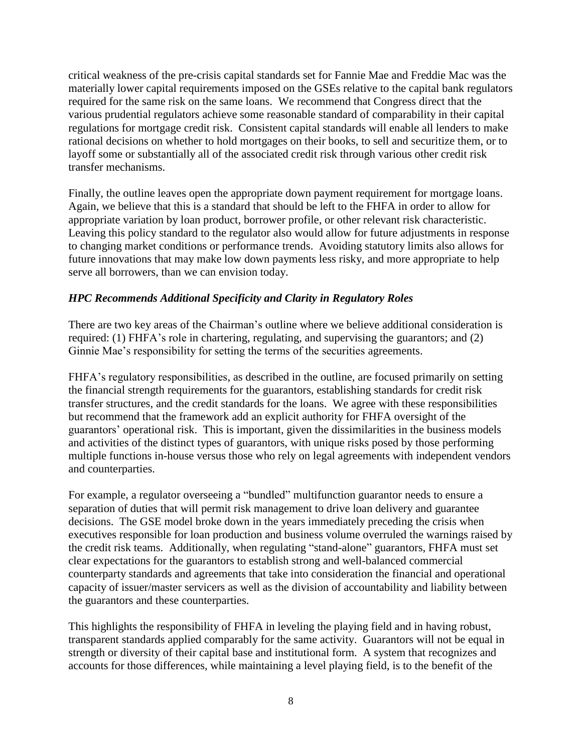critical weakness of the pre-crisis capital standards set for Fannie Mae and Freddie Mac was the materially lower capital requirements imposed on the GSEs relative to the capital bank regulators required for the same risk on the same loans. We recommend that Congress direct that the various prudential regulators achieve some reasonable standard of comparability in their capital regulations for mortgage credit risk. Consistent capital standards will enable all lenders to make rational decisions on whether to hold mortgages on their books, to sell and securitize them, or to layoff some or substantially all of the associated credit risk through various other credit risk transfer mechanisms.

Finally, the outline leaves open the appropriate down payment requirement for mortgage loans. Again, we believe that this is a standard that should be left to the FHFA in order to allow for appropriate variation by loan product, borrower profile, or other relevant risk characteristic. Leaving this policy standard to the regulator also would allow for future adjustments in response to changing market conditions or performance trends. Avoiding statutory limits also allows for future innovations that may make low down payments less risky, and more appropriate to help serve all borrowers, than we can envision today.

## *HPC Recommends Additional Specificity and Clarity in Regulatory Roles*

There are two key areas of the Chairman's outline where we believe additional consideration is required: (1) FHFA's role in chartering, regulating, and supervising the guarantors; and (2) Ginnie Mae's responsibility for setting the terms of the securities agreements.

FHFA's regulatory responsibilities, as described in the outline, are focused primarily on setting the financial strength requirements for the guarantors, establishing standards for credit risk transfer structures, and the credit standards for the loans. We agree with these responsibilities but recommend that the framework add an explicit authority for FHFA oversight of the guarantors' operational risk. This is important, given the dissimilarities in the business models and activities of the distinct types of guarantors, with unique risks posed by those performing multiple functions in-house versus those who rely on legal agreements with independent vendors and counterparties.

For example, a regulator overseeing a "bundled" multifunction guarantor needs to ensure a separation of duties that will permit risk management to drive loan delivery and guarantee decisions. The GSE model broke down in the years immediately preceding the crisis when executives responsible for loan production and business volume overruled the warnings raised by the credit risk teams. Additionally, when regulating "stand-alone" guarantors, FHFA must set clear expectations for the guarantors to establish strong and well-balanced commercial counterparty standards and agreements that take into consideration the financial and operational capacity of issuer/master servicers as well as the division of accountability and liability between the guarantors and these counterparties.

This highlights the responsibility of FHFA in leveling the playing field and in having robust, transparent standards applied comparably for the same activity. Guarantors will not be equal in strength or diversity of their capital base and institutional form. A system that recognizes and accounts for those differences, while maintaining a level playing field, is to the benefit of the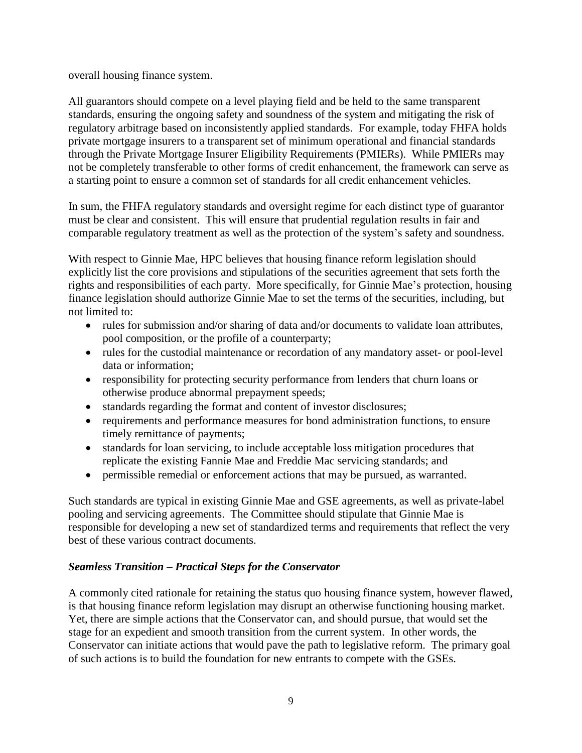overall housing finance system.

All guarantors should compete on a level playing field and be held to the same transparent standards, ensuring the ongoing safety and soundness of the system and mitigating the risk of regulatory arbitrage based on inconsistently applied standards. For example, today FHFA holds private mortgage insurers to a transparent set of minimum operational and financial standards through the Private Mortgage Insurer Eligibility Requirements (PMIERs). While PMIERs may not be completely transferable to other forms of credit enhancement, the framework can serve as a starting point to ensure a common set of standards for all credit enhancement vehicles.

In sum, the FHFA regulatory standards and oversight regime for each distinct type of guarantor must be clear and consistent. This will ensure that prudential regulation results in fair and comparable regulatory treatment as well as the protection of the system's safety and soundness.

With respect to Ginnie Mae, HPC believes that housing finance reform legislation should explicitly list the core provisions and stipulations of the securities agreement that sets forth the rights and responsibilities of each party. More specifically, for Ginnie Mae's protection, housing finance legislation should authorize Ginnie Mae to set the terms of the securities, including, but not limited to:

- rules for submission and/or sharing of data and/or documents to validate loan attributes, pool composition, or the profile of a counterparty;
- rules for the custodial maintenance or recordation of any mandatory asset- or pool-level data or information;
- responsibility for protecting security performance from lenders that churn loans or otherwise produce abnormal prepayment speeds;
- standards regarding the format and content of investor disclosures;
- requirements and performance measures for bond administration functions, to ensure timely remittance of payments;
- standards for loan servicing, to include acceptable loss mitigation procedures that replicate the existing Fannie Mae and Freddie Mac servicing standards; and
- permissible remedial or enforcement actions that may be pursued, as warranted.

Such standards are typical in existing Ginnie Mae and GSE agreements, as well as private-label pooling and servicing agreements. The Committee should stipulate that Ginnie Mae is responsible for developing a new set of standardized terms and requirements that reflect the very best of these various contract documents.

## *Seamless Transition – Practical Steps for the Conservator*

A commonly cited rationale for retaining the status quo housing finance system, however flawed, is that housing finance reform legislation may disrupt an otherwise functioning housing market. Yet, there are simple actions that the Conservator can, and should pursue, that would set the stage for an expedient and smooth transition from the current system. In other words, the Conservator can initiate actions that would pave the path to legislative reform. The primary goal of such actions is to build the foundation for new entrants to compete with the GSEs.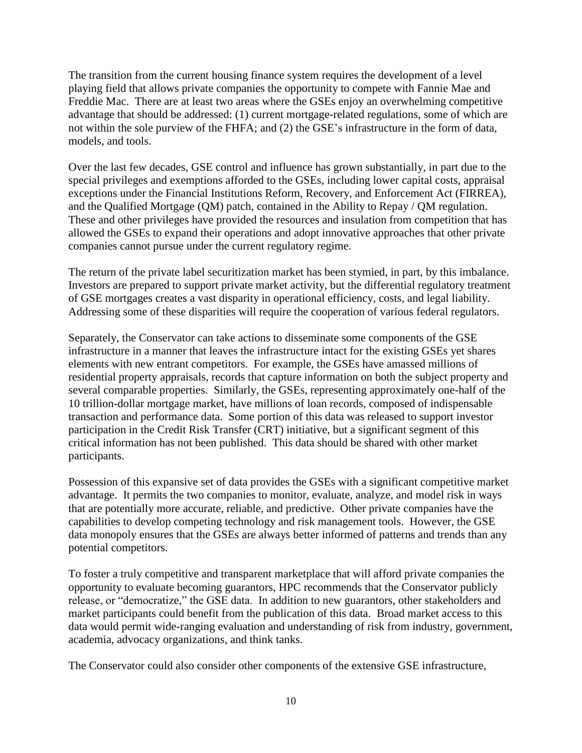The transition from the current housing finance system requires the development of a level playing field that allows private companies the opportunity to compete with Fannie Mae and Freddie Mac. There are at least two areas where the GSEs enjoy an overwhelming competitive advantage that should be addressed: (1) current mortgage-related regulations, some of which are not within the sole purview of the FHFA; and (2) the GSE's infrastructure in the form of data, models, and tools.

Over the last few decades, GSE control and influence has grown substantially, in part due to the special privileges and exemptions afforded to the GSEs, including lower capital costs, appraisal exceptions under the Financial Institutions Reform, Recovery, and Enforcement Act (FIRREA), and the Qualified Mortgage (QM) patch, contained in the Ability to Repay / QM regulation. These and other privileges have provided the resources and insulation from competition that has allowed the GSEs to expand their operations and adopt innovative approaches that other private companies cannot pursue under the current regulatory regime.

The return of the private label securitization market has been stymied, in part, by this imbalance. Investors are prepared to support private market activity, but the differential regulatory treatment of GSE mortgages creates a vast disparity in operational efficiency, costs, and legal liability. Addressing some of these disparities will require the cooperation of various federal regulators.

Separately, the Conservator can take actions to disseminate some components of the GSE infrastructure in a manner that leaves the infrastructure intact for the existing GSEs yet shares elements with new entrant competitors. For example, the GSEs have amassed millions of residential property appraisals, records that capture information on both the subject property and several comparable properties. Similarly, the GSEs, representing approximately one-half of the 10 trillion-dollar mortgage market, have millions of loan records, composed of indispensable transaction and performance data. Some portion of this data was released to support investor participation in the Credit Risk Transfer (CRT) initiative, but a significant segment of this critical information has not been published. This data should be shared with other market participants.

Possession of this expansive set of data provides the GSEs with a significant competitive market advantage. It permits the two companies to monitor, evaluate, analyze, and model risk in ways that are potentially more accurate, reliable, and predictive. Other private companies have the capabilities to develop competing technology and risk management tools. However, the GSE data monopoly ensures that the GSEs are always better informed of patterns and trends than any potential competitors.

To foster a truly competitive and transparent marketplace that will afford private companies the opportunity to evaluate becoming guarantors, HPC recommends that the Conservator publicly release, or "democratize," the GSE data. In addition to new guarantors, other stakeholders and market participants could benefit from the publication of this data. Broad market access to this data would permit wide-ranging evaluation and understanding of risk from industry, government, academia, advocacy organizations, and think tanks.

The Conservator could also consider other components of the extensive GSE infrastructure,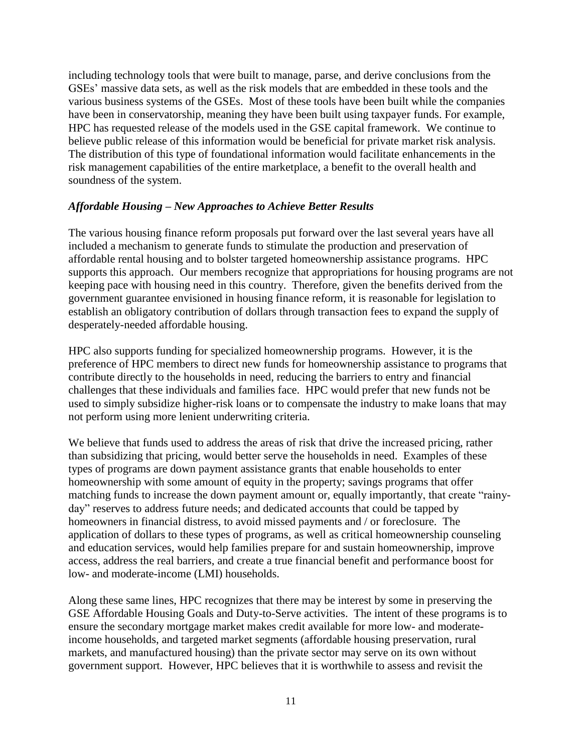including technology tools that were built to manage, parse, and derive conclusions from the GSEs' massive data sets, as well as the risk models that are embedded in these tools and the various business systems of the GSEs. Most of these tools have been built while the companies have been in conservatorship, meaning they have been built using taxpayer funds. For example, HPC has requested release of the models used in the GSE capital framework. We continue to believe public release of this information would be beneficial for private market risk analysis. The distribution of this type of foundational information would facilitate enhancements in the risk management capabilities of the entire marketplace, a benefit to the overall health and soundness of the system.

#### *Affordable Housing – New Approaches to Achieve Better Results*

The various housing finance reform proposals put forward over the last several years have all included a mechanism to generate funds to stimulate the production and preservation of affordable rental housing and to bolster targeted homeownership assistance programs. HPC supports this approach. Our members recognize that appropriations for housing programs are not keeping pace with housing need in this country. Therefore, given the benefits derived from the government guarantee envisioned in housing finance reform, it is reasonable for legislation to establish an obligatory contribution of dollars through transaction fees to expand the supply of desperately-needed affordable housing.

HPC also supports funding for specialized homeownership programs. However, it is the preference of HPC members to direct new funds for homeownership assistance to programs that contribute directly to the households in need, reducing the barriers to entry and financial challenges that these individuals and families face. HPC would prefer that new funds not be used to simply subsidize higher-risk loans or to compensate the industry to make loans that may not perform using more lenient underwriting criteria.

We believe that funds used to address the areas of risk that drive the increased pricing, rather than subsidizing that pricing, would better serve the households in need. Examples of these types of programs are down payment assistance grants that enable households to enter homeownership with some amount of equity in the property; savings programs that offer matching funds to increase the down payment amount or, equally importantly, that create "rainyday" reserves to address future needs; and dedicated accounts that could be tapped by homeowners in financial distress, to avoid missed payments and / or foreclosure. The application of dollars to these types of programs, as well as critical homeownership counseling and education services, would help families prepare for and sustain homeownership, improve access, address the real barriers, and create a true financial benefit and performance boost for low- and moderate-income (LMI) households.

Along these same lines, HPC recognizes that there may be interest by some in preserving the GSE Affordable Housing Goals and Duty-to-Serve activities. The intent of these programs is to ensure the secondary mortgage market makes credit available for more low- and moderateincome households, and targeted market segments (affordable housing preservation, rural markets, and manufactured housing) than the private sector may serve on its own without government support. However, HPC believes that it is worthwhile to assess and revisit the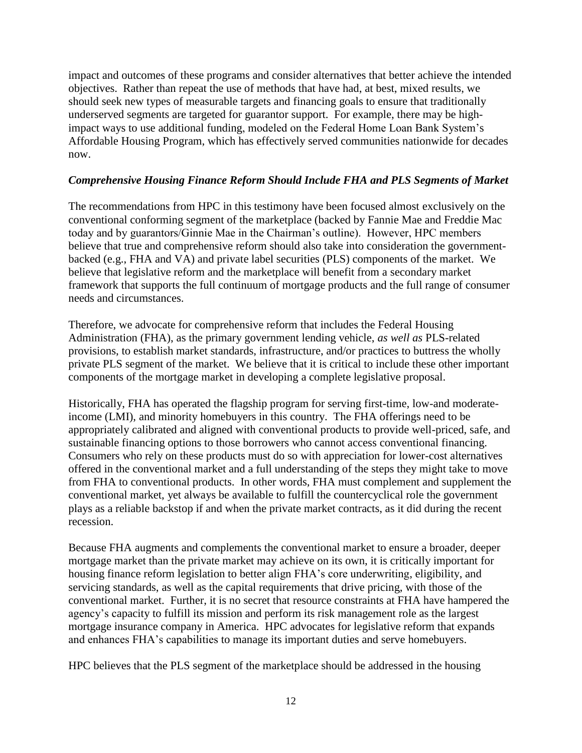impact and outcomes of these programs and consider alternatives that better achieve the intended objectives. Rather than repeat the use of methods that have had, at best, mixed results, we should seek new types of measurable targets and financing goals to ensure that traditionally underserved segments are targeted for guarantor support. For example, there may be highimpact ways to use additional funding, modeled on the Federal Home Loan Bank System's Affordable Housing Program, which has effectively served communities nationwide for decades now.

#### *Comprehensive Housing Finance Reform Should Include FHA and PLS Segments of Market*

The recommendations from HPC in this testimony have been focused almost exclusively on the conventional conforming segment of the marketplace (backed by Fannie Mae and Freddie Mac today and by guarantors/Ginnie Mae in the Chairman's outline). However, HPC members believe that true and comprehensive reform should also take into consideration the governmentbacked (e.g., FHA and VA) and private label securities (PLS) components of the market. We believe that legislative reform and the marketplace will benefit from a secondary market framework that supports the full continuum of mortgage products and the full range of consumer needs and circumstances.

Therefore, we advocate for comprehensive reform that includes the Federal Housing Administration (FHA), as the primary government lending vehicle, *as well as* PLS-related provisions, to establish market standards, infrastructure, and/or practices to buttress the wholly private PLS segment of the market. We believe that it is critical to include these other important components of the mortgage market in developing a complete legislative proposal.

Historically, FHA has operated the flagship program for serving first-time, low-and moderateincome (LMI), and minority homebuyers in this country. The FHA offerings need to be appropriately calibrated and aligned with conventional products to provide well-priced, safe, and sustainable financing options to those borrowers who cannot access conventional financing. Consumers who rely on these products must do so with appreciation for lower-cost alternatives offered in the conventional market and a full understanding of the steps they might take to move from FHA to conventional products. In other words, FHA must complement and supplement the conventional market, yet always be available to fulfill the countercyclical role the government plays as a reliable backstop if and when the private market contracts, as it did during the recent recession.

Because FHA augments and complements the conventional market to ensure a broader, deeper mortgage market than the private market may achieve on its own, it is critically important for housing finance reform legislation to better align FHA's core underwriting, eligibility, and servicing standards, as well as the capital requirements that drive pricing, with those of the conventional market. Further, it is no secret that resource constraints at FHA have hampered the agency's capacity to fulfill its mission and perform its risk management role as the largest mortgage insurance company in America. HPC advocates for legislative reform that expands and enhances FHA's capabilities to manage its important duties and serve homebuyers.

HPC believes that the PLS segment of the marketplace should be addressed in the housing